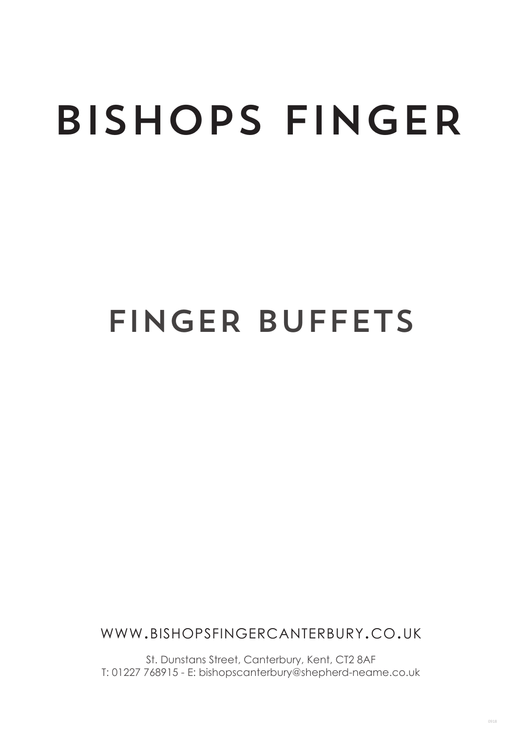# BISHOPS FINGER

## FINGER BUFFETS

www.bishopsfingercanterbury.co.uk

St. Dunstans Street, Canterbury, Kent, CT2 8AF T: 01227 768915 - E: bishopscanterbury@shepherd-neame.co.uk

0918